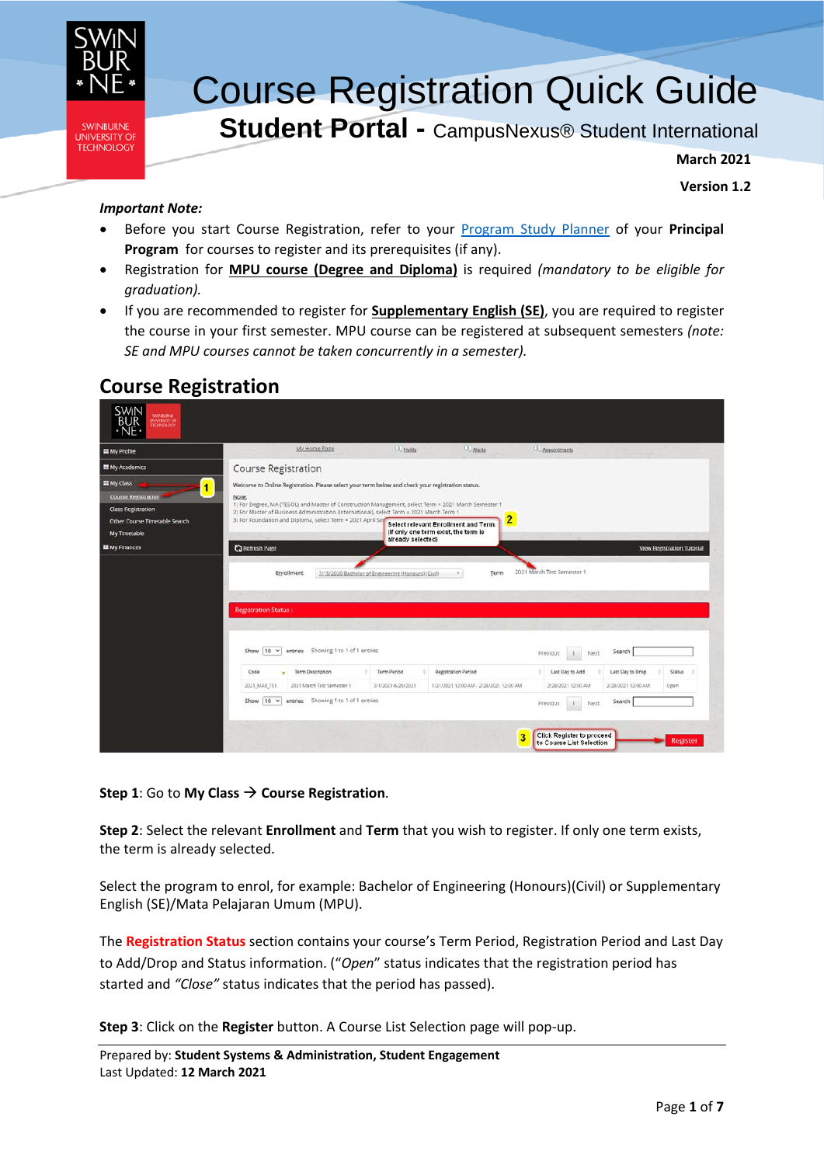

# Course Registration Quick Guide

**Student Portal -** CampusNexus® Student International

**March 2021**

**Version 1.2**

### *Important Note:*

- Before you start Course Registration, refer to your [Program Study Planner](https://www.swinburne.edu.my/current-students/manage-course/enrolment/program-study-planner.php) of your **Principal Program** for courses to register and its prerequisites (if any).
- Registration for **MPU course (Degree and Diploma)** is required *(mandatory to be eligible for graduation).*
- If you are recommended to register for **Supplementary English (SE)**, you are required to register the course in your first semester. MPU course can be registered at subsequent semesters *(note: SE and MPU courses cannot be taken concurrently in a semester).*

# <span id="page-0-1"></span>**Course Registration**

| <b>SWIN</b><br><b>SWINBLIKINE</b><br><b>UNIVERSITY OF</b><br>TECHNOLOGY<br>۰NE |                                                                                                                                                                                                 |                                                                                                 |                                                                        |                                                            |                                                  |                 |
|--------------------------------------------------------------------------------|-------------------------------------------------------------------------------------------------------------------------------------------------------------------------------------------------|-------------------------------------------------------------------------------------------------|------------------------------------------------------------------------|------------------------------------------------------------|--------------------------------------------------|-----------------|
| <b>EE</b> My Profile                                                           | My Home Page                                                                                                                                                                                    | <sup>(2)</sup> Holds                                                                            | 0 Alerts                                                               | <b>4</b> Appointments                                      |                                                  |                 |
| <b>III</b> My Academics                                                        | Course Registration                                                                                                                                                                             |                                                                                                 |                                                                        |                                                            |                                                  |                 |
| <b>EE</b> My Class<br>$\blacksquare$                                           | Welcome to Online Registration. Please select your term below and check your registration status.                                                                                               |                                                                                                 |                                                                        |                                                            |                                                  |                 |
| <b>Course Registration</b>                                                     | Note:<br>1) For Degree, MA (TESOL) and Master of Construction Management, select Term = 2021 March Semester 1                                                                                   |                                                                                                 |                                                                        |                                                            |                                                  |                 |
| <b>Class Registration</b>                                                      | 2) For Master of Business Administration (International), select Term = 2021 March Term 1                                                                                                       |                                                                                                 |                                                                        |                                                            |                                                  |                 |
| Other Course Timetable Search                                                  | 3) For Foundation and Diploma, select Term = 2021 April Set                                                                                                                                     | (if only one term exist, the term is                                                            | 2<br>Select relevant Enrollment and Term.                              |                                                            |                                                  |                 |
| My Timetable                                                                   |                                                                                                                                                                                                 | already selected)                                                                               |                                                                        |                                                            |                                                  |                 |
| <b>EE</b> My Finances                                                          | <b>C</b> Refresh Page                                                                                                                                                                           |                                                                                                 |                                                                        |                                                            | View Registration Tutorial                       |                 |
|                                                                                | Enrollment<br><b>Registration Status:</b><br>entries Showing 1 to 1 of 1 entries<br>Show<br>10<br>$\checkmark$<br><b>Term Description</b><br>Code<br>2021_MAR_TS1<br>2021 March Test Semester 1 | 7/15/2020 Bachelor of Engineering (Honours) (Civil)<br><b>Term Period</b><br>3/1/2021-6/20/2021 | Term<br>Registration Period<br>1/21/2021 12:00 AM - 2/28/2021 12:00 AM | Previous<br>Next.<br>Last Day to Add<br>2/28/2021 12:00 AM | Search<br>Last Day to Drop<br>2/28/2021 12:00 AM | Status<br>Open  |
|                                                                                | entries Showing 1 to 1 of 1 entries<br>Show $10 - 4$                                                                                                                                            |                                                                                                 |                                                                        | Next<br>Previous<br>1                                      | Search                                           |                 |
|                                                                                |                                                                                                                                                                                                 |                                                                                                 | 3                                                                      | Click Register to proceed<br>to Course List Selection      |                                                  | <b>Register</b> |

### **Step 1**: Go to **My Class Course Registration**.

<span id="page-0-0"></span>**Step 2**: Select the relevant **Enrollment** and **Term** that you wish to register. If only one term exists, the term is already selected.

Select the program to enrol, for example: Bachelor of Engineering (Honours)(Civil) or Supplementary English (SE)/Mata Pelajaran Umum (MPU).

The **Registration Status** section contains your course's Term Period, Registration Period and Last Day to Add/Drop and Status information. ("*Open*" status indicates that the registration period has started and *"Close"* status indicates that the period has passed).

**Step 3**: Click on the **Register** button. A Course List Selection page will pop-up.

Prepared by: **Student Systems & Administration, Student Engagement** Last Updated: **12 March 2021**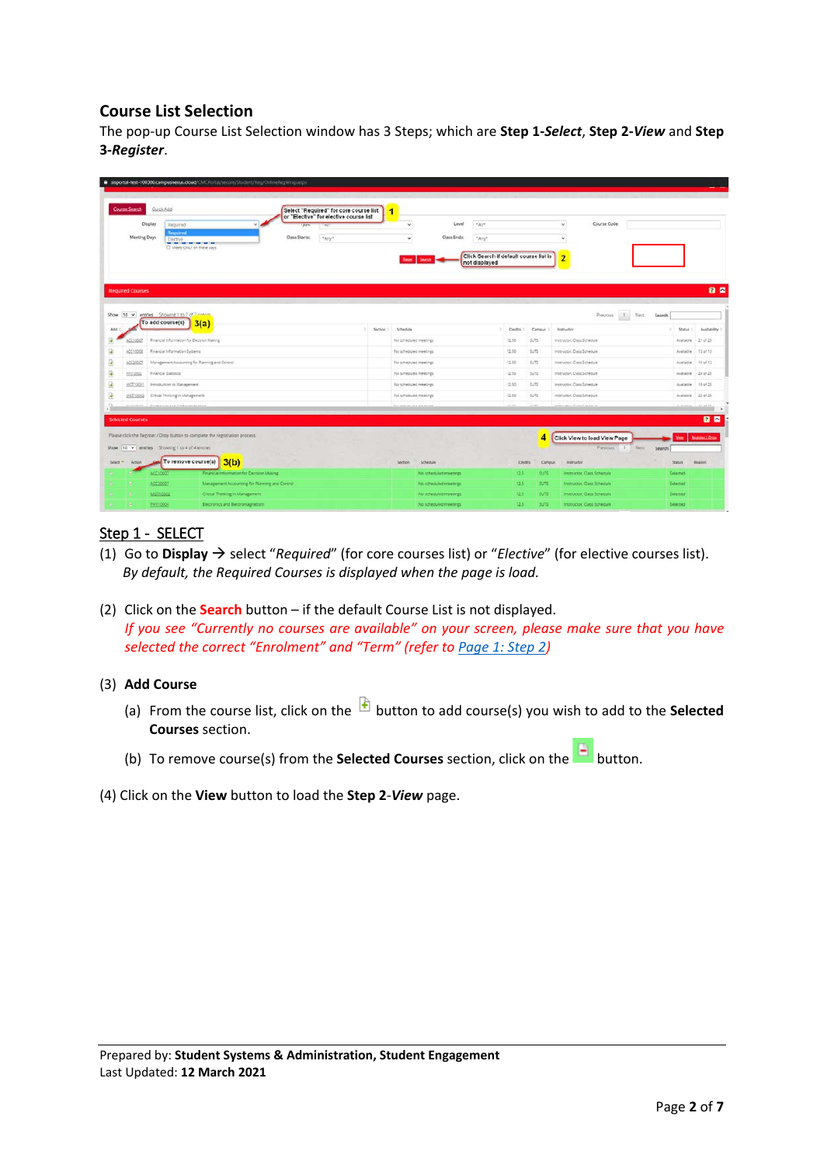# **Course List Selection**

The pop-up Course List Selection window has 3 Steps; which are **Step 1-***Select*, **Step 2-***View* and **Step 3-***Register*.

| Course Search           | Quick Add                                                                                         | Select "Required" for core course list<br>or "Elective" for elective course list | 1  |                                       |                       |                                                                  |         |             |                                         |                    |                        |
|-------------------------|---------------------------------------------------------------------------------------------------|----------------------------------------------------------------------------------|----|---------------------------------------|-----------------------|------------------------------------------------------------------|---------|-------------|-----------------------------------------|--------------------|------------------------|
| Display                 | Required<br>$\ddot{}$                                                                             | 11 <sup>2</sup><br><b>Sell</b>                                                   |    | v                                     | Level                 | $\sigma\Delta t/\tau$                                            |         |             | Course Code<br>×.                       |                    |                        |
| Meeting Days            | Required<br>Elactive<br>and IT was 17 years to pay 17 years for any<br>T Meets ONLY on these days | Class Starts:<br>$A\gamma\gamma^*$                                               |    | $\omega$                              | Class Ends:           | *Any*<br>Click Search if default course list is<br>not displayed |         |             | $\sim$<br>$\overline{2}$                |                    |                        |
| <b>Required Courses</b> |                                                                                                   |                                                                                  |    |                                       |                       |                                                                  |         |             |                                         |                    |                        |
|                         | Show 10 v entries Showing 1 to 7 of Zentrong<br>To add course(s)<br>3(a)                          |                                                                                  | ÷. | Section 1 Schedule                    |                       | <b>Owdits</b><br>u                                               |         | Campus !    | Previous.<br>Next<br><b>Matriuction</b> | Search<br>Status ! | Availability           |
| ACC10007                | Rinancial Information for Decision Making                                                         |                                                                                  |    | No scheduled meetings                 |                       | 12.50                                                            |         | SUTS.       | Instructor, Cass Schedule               | Augilatin 21 of 25 |                        |
| ACC10008                | Financial Information Systems                                                                     |                                                                                  |    | Na scheduled meetings                 |                       | 12.50                                                            |         | SUTS.       | Instructor, Class Schedule              | Aveilable          | $13 - 15$              |
| ACC20007                | Management Accounting for Planning and Control                                                    |                                                                                  |    | No scheduled meetings                 |                       | 12.50                                                            |         | 5.73        | Instructor, Class Schedule              | Available 10 of 12 |                        |
| Etx10002                | Financial Statistics                                                                              |                                                                                  |    | his scheduled meetings                |                       | 12.50                                                            |         | SUTS        | Instructor, Class Schedule              | Austable           | 24 of 25               |
| MGT10001                | Immoduction to Management                                                                         |                                                                                  |    | No scheduled meetings                 |                       | 12.60                                                            |         | SUTS.       | Instructor, Cass Schedule               | Austacle 19 of 25  |                        |
| MGT10002                | Critical Thinking in Management                                                                   |                                                                                  |    | No screauled meetings                 |                       | 12.92                                                            |         | SUTS        | Instructor, Class Schedule              | Austable 23 of 25  |                        |
|                         | President and Primaries and                                                                       |                                                                                  |    | \$24, Antennati, 24.40 militari e del |                       | <b>ALCOHOL</b>                                                   |         |             | and man Price Princess !                |                    | the ad is              |
| <b>Selected Courses</b> |                                                                                                   |                                                                                  |    |                                       |                       |                                                                  |         |             |                                         |                    | 28                     |
|                         | Please click the Register / Drop button to complete the registration process.                     |                                                                                  |    |                                       |                       |                                                                  |         | 4           | Click View to load View Page            | <b>View</b>        | <b>Register / Drog</b> |
|                         | Show 10 v entries Showing 1 to 4 of 4 entries                                                     |                                                                                  |    |                                       |                       |                                                                  |         |             | Neir-<br>Presiones:<br>11               | Search             |                        |
|                         |                                                                                                   |                                                                                  |    | Schedule<br>Section                   |                       |                                                                  | Credits | Campus      | <b>Instructor</b>                       | <b>Status</b>      | Beason                 |
| Action                  | To remove course(s)<br>3(b)                                                                       |                                                                                  |    |                                       | No scheduled meetings |                                                                  | 12.5    | SUTS.       | instructor, Class Schedule              | Selected           |                        |
|                         | Financial Information for Decision Making<br>6031000                                              |                                                                                  |    |                                       |                       |                                                                  |         |             |                                         |                    |                        |
|                         | <b>ACC20007</b><br>Management Accounting for Planning and Control                                 |                                                                                  |    |                                       | No scheduled meetings |                                                                  | 12.5    | SUTS.       | Instructor, Class Schedule              | Selected           |                        |
| Select A.               | MAGT10002<br>Critical Thirsting in Management                                                     |                                                                                  |    |                                       | No scheduled meetings |                                                                  | 42.5    | <b>SUTS</b> | Instructor, Class Schedule              | Selected           |                        |

# Step 1 - SELECT

- (1) Go to **Display**  $\rightarrow$  select "*Required*" (for core courses list) or "*Elective*" (for elective courses list). *By default, the Required Courses is displayed when the page is load.*
- (2) Click on the **Search** button if the default Course List is not displayed. *If you see "Currently no courses are available" on your screen, please make sure that you have selected the correct "Enrolment" and "Term" (refer to [Page 1: Step 2\)](#page-0-0)*

### (3) **Add Course**

- (a) From the course list, click on the **b** button to add course(s) you wish to add to the **Selected Courses** section.
- (b) To remove course(s) from the **Selected Courses** section, click on the **button**.
- (4) Click on the **View** button to load the **Step 2**-*View* page.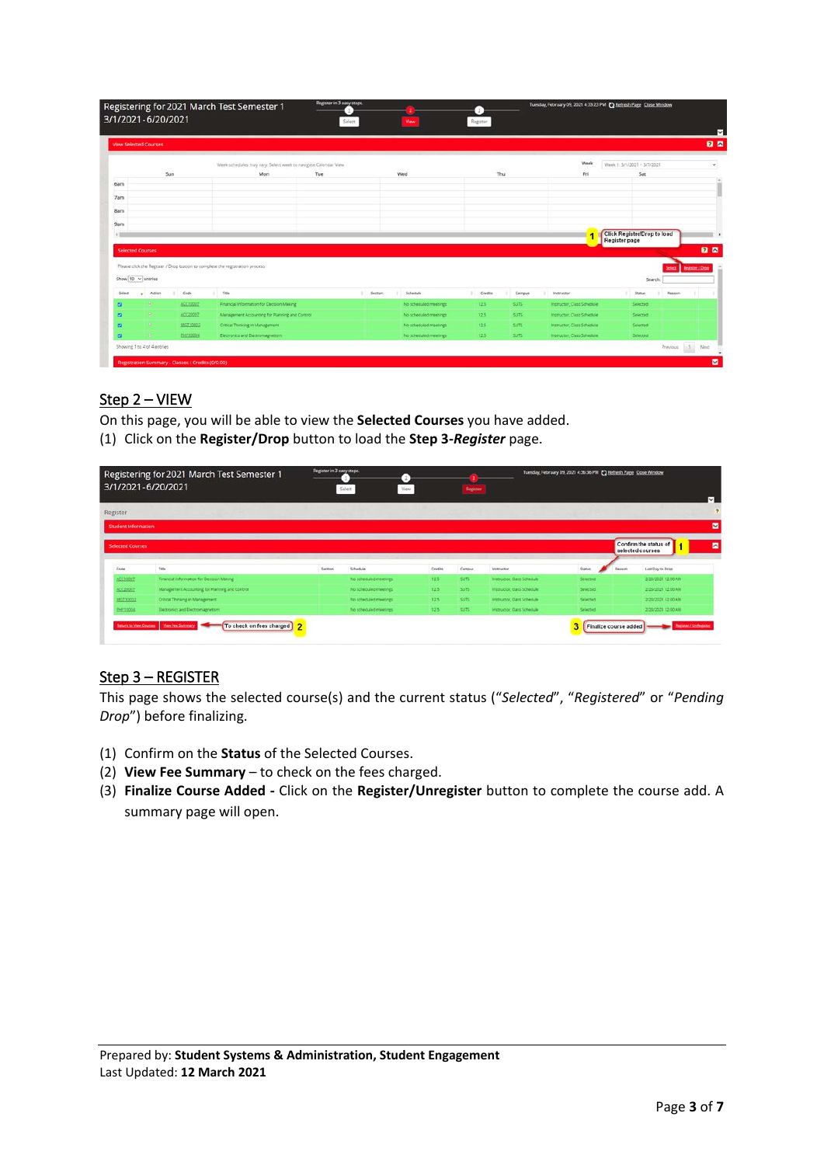|                         | <b>View Selected Courses</b> |          |                                                                               |     |         |                       |               |             |                            |                             |          |               |                        |
|-------------------------|------------------------------|----------|-------------------------------------------------------------------------------|-----|---------|-----------------------|---------------|-------------|----------------------------|-----------------------------|----------|---------------|------------------------|
|                         |                              |          | Week schedules may vary. Select week to navigate Calendar View                |     |         |                       |               |             | Week                       | Week 1: 3/1/2021 - 3/7/2021 |          |               |                        |
|                         | Sun                          |          | Mon                                                                           | Tue |         | Wed                   | Thu           |             | Fri                        |                             | Sat      |               |                        |
| 6am                     |                              |          |                                                                               |     |         |                       |               |             |                            |                             |          |               |                        |
| 7am                     |                              |          |                                                                               |     |         |                       |               |             |                            |                             |          |               |                        |
| <b>Barn</b>             |                              |          |                                                                               |     |         |                       |               |             |                            |                             |          |               |                        |
|                         |                              |          |                                                                               |     |         |                       |               |             |                            |                             |          |               |                        |
| 9am                     |                              |          |                                                                               |     |         |                       |               |             |                            | Click Register/Drop to load |          |               |                        |
|                         |                              |          |                                                                               |     |         |                       |               |             |                            | Register page               |          |               |                        |
|                         |                              |          |                                                                               |     |         |                       |               |             |                            |                             |          |               | 28                     |
| <b>Selected Courses</b> |                              |          |                                                                               |     |         |                       |               |             |                            |                             |          |               |                        |
|                         |                              |          | Please click the Register / Drop button to complete the registration process. |     |         |                       |               |             |                            |                             |          | <b>Select</b> |                        |
|                         | Show $10 \times$ entries     |          |                                                                               |     |         |                       |               |             |                            |                             | Search   |               | <b>Register / Orog</b> |
|                         | Action                       | Code     | Title                                                                         |     | Section | Schedule              | Credits<br>W. | Campus      | Instructor                 |                             | Status   | Reason        |                        |
|                         | ٠                            | ACC10002 | Financial Information for Decision Making                                     |     |         | No scheduled meetings | 125           | SUTS.       | Instructor, Class Schedule |                             | Selected |               |                        |
|                         | ×                            | ACC2000Z | Management Accounting for Planning and Control                                |     |         | No scheduled meetings | 12.5          | SUTS.       | Instructor, Class Schedule |                             | Selected |               |                        |
| Select<br>a<br>a<br>ø   | ×.                           | MGE10002 | Critical Thinking in Management                                               |     |         | No scheduled meetings | 12.5          | <b>SUTS</b> | Instructor, Class Schedule |                             | Selected |               |                        |

## Step 2 – VIEW

On this page, you will be able to view the **Selected Courses** you have added. (1) Click on the **Register/Drop** button to load the **Step 3-***Register* page.

|                         | Registering for 2021 March Test Semester 1<br>3/1/2021-6/20/2021 | Register in 3 easy steps. | Select<br>View.       |         | Register    |                            | Tuesday, February 09, 2021 4:36:36 PM ( Refresh Page Close Window |        |                                           |                         |
|-------------------------|------------------------------------------------------------------|---------------------------|-----------------------|---------|-------------|----------------------------|-------------------------------------------------------------------|--------|-------------------------------------------|-------------------------|
|                         |                                                                  |                           |                       |         |             |                            |                                                                   |        |                                           | $\overline{\mathbf{v}}$ |
| Register                |                                                                  |                           |                       |         |             |                            |                                                                   |        |                                           | $\overline{2}$          |
| Student Information     |                                                                  |                           |                       |         |             |                            |                                                                   |        |                                           | $\blacksquare$          |
| <b>Selected Courses</b> |                                                                  |                           |                       |         |             |                            |                                                                   |        | Confirm the status of<br>selected courses | ø                       |
| Code                    | Title                                                            | Section                   | Schedule              | Credits | Campus      | Instructor                 | <b>Status</b>                                                     | Reason | Last Day to Drop                          |                         |
| ACC10007                | Financial Information for Decision Making                        |                           | No scheduled meetings | 12.5    | <b>SUTS</b> | Instructor, Class Schedule | Selected                                                          |        | 2/28/2021 12:00 AM                        |                         |
| ACC20007                | Management Accounting for Planning and Control                   |                           | No scheduled meetings | 12.5    | 5075        | Instructor, Class Schedule | Selected                                                          |        | 2/28/2021 12:00 AM                        |                         |
|                         |                                                                  |                           |                       | 12.5    | sure.       | Instructor, Class Schedule | <b>Salarsan</b>                                                   |        | 2/28/2021 12:00:434                       |                         |
| MAT10002                | Critical Thinking in Management                                  |                           | No scheduled meetings |         |             |                            |                                                                   |        |                                           |                         |

# Step 3 – REGISTER

This page shows the selected course(s) and the current status ("*Selected*", "*Registered*" or "*Pending Drop*") before finalizing.

- (1) Confirm on the **Status** of the Selected Courses.
- (2) **View Fee Summary** to check on the fees charged.
- (3) **Finalize Course Added -** Click on the **Register/Unregister** button to complete the course add. A summary page will open.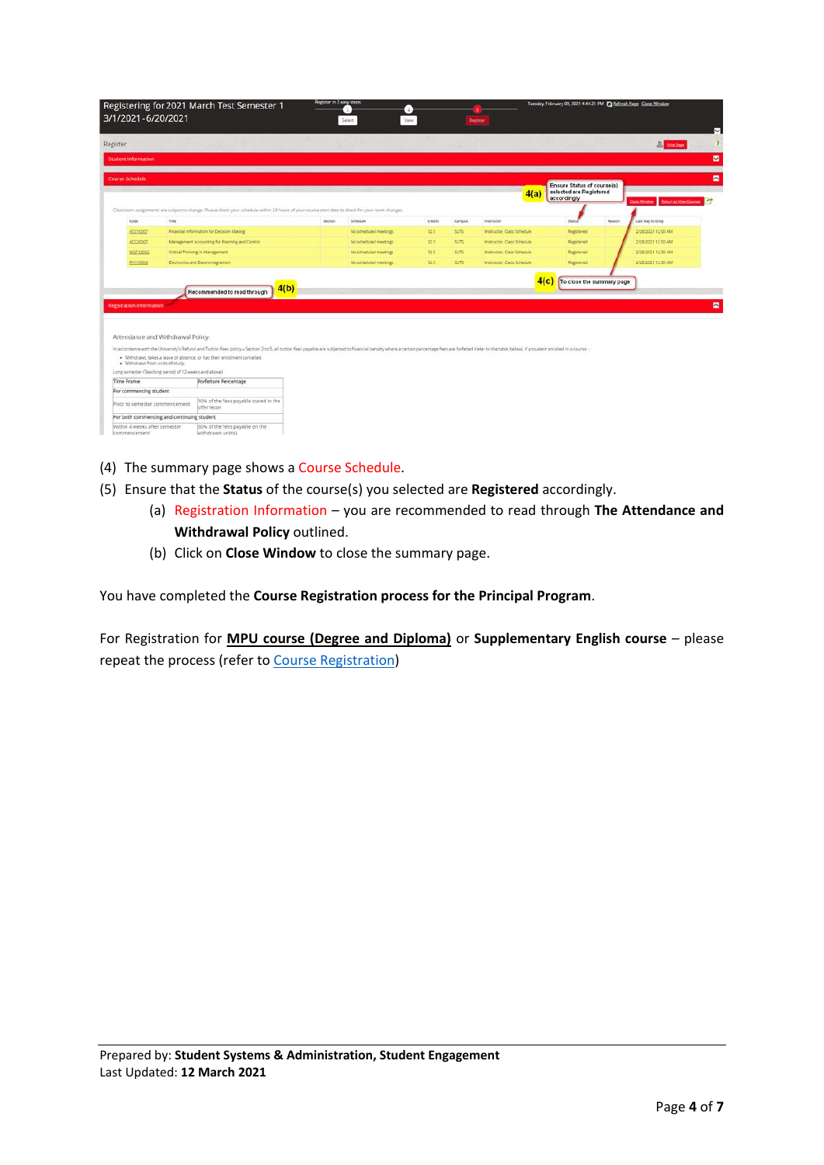| 3/1/2021-6/20/2021                                                                                       | Registering for 2021 March Test Semester 1                                                                                                                                                                                                                                                                                                       | Register in 3 easy steps. | Ð<br>View.<br>Select: |                |             | Register                   | Tuesday, February 09, 2021 4:44:21 PM C Refresh Page Close Window    |        |                                                |  |
|----------------------------------------------------------------------------------------------------------|--------------------------------------------------------------------------------------------------------------------------------------------------------------------------------------------------------------------------------------------------------------------------------------------------------------------------------------------------|---------------------------|-----------------------|----------------|-------------|----------------------------|----------------------------------------------------------------------|--------|------------------------------------------------|--|
| Register                                                                                                 |                                                                                                                                                                                                                                                                                                                                                  |                           |                       |                |             |                            |                                                                      |        | <b>All Print Page</b>                          |  |
| Student Information                                                                                      |                                                                                                                                                                                                                                                                                                                                                  |                           |                       |                |             |                            |                                                                      |        |                                                |  |
| <b>Course Schedule</b>                                                                                   |                                                                                                                                                                                                                                                                                                                                                  |                           |                       |                |             |                            |                                                                      |        |                                                |  |
|                                                                                                          |                                                                                                                                                                                                                                                                                                                                                  |                           |                       |                |             | 4(a)                       | Ensure Status of course(s)<br>selected are Registered<br>accordingly |        |                                                |  |
|                                                                                                          | Classroom assignments are subject to change. Please check your schedule within 24 hours of your course start date to check for your room changes.                                                                                                                                                                                                |                           |                       |                |             |                            |                                                                      |        | <b>Britarn to View Counter</b><br>Close Window |  |
| Code<br>Title                                                                                            |                                                                                                                                                                                                                                                                                                                                                  | Section                   | Schedule              | <b>Credits</b> | Campus      | instructor                 | Status                                                               | Reason | Last Day to Drop                               |  |
| ACC10007                                                                                                 | Financial Information for Decision Making                                                                                                                                                                                                                                                                                                        |                           | No scheduled meetings | 12.5           | <b>SUTS</b> | Instructor, Class Schedule | Registered                                                           |        | 2/28/2021 12:00 AM                             |  |
| ACC20007                                                                                                 | Management Accounting for Planning and Control                                                                                                                                                                                                                                                                                                   |                           | No scheduled meetings | 12.5           | <b>SUTS</b> | Instructor, Class Schedule | Registered.                                                          |        | 2/28/2021 12:00 AM                             |  |
| 100710002                                                                                                | Critical Thinking in Management                                                                                                                                                                                                                                                                                                                  |                           | No scheduled meetings | 12.5           | SUTS!       | Instructor, Class Schedule | Registered                                                           |        | 2/28/2021 12:00 AM                             |  |
| PHY10004                                                                                                 | Electronics and Electromagnetism                                                                                                                                                                                                                                                                                                                 |                           | No scheduled meetings | 12.5           | <b>SUTS</b> | Instructor, Class Schedule | Registered                                                           |        | 2/28/2021 12:00 AM                             |  |
| <b>Registration Information</b><br>Attendance and Withdrawal Policy:<br>· Withdraws from units of study. | 4(b)<br>Recommended to read through<br>In accordance with the University's Refund and Tuition Fees policy = Section 2 to S, all tuition fees payable are subjected to financial penalty where a certain percentage fees are forfeited (refer to the table below), if<br>· Withdraws, takes a leave of absence, or has their enrolment cancelled. |                           |                       |                |             |                            | 4(c)<br>To close the summary page                                    |        |                                                |  |
| Long semester (Teaching period of 12 weeks and above)                                                    |                                                                                                                                                                                                                                                                                                                                                  |                           |                       |                |             |                            |                                                                      |        |                                                |  |
| Time Frame                                                                                               | Forfeiture Percentage                                                                                                                                                                                                                                                                                                                            |                           |                       |                |             |                            |                                                                      |        |                                                |  |
| For commencing student                                                                                   |                                                                                                                                                                                                                                                                                                                                                  |                           |                       |                |             |                            |                                                                      |        |                                                |  |
| Prior to semester commencement                                                                           | to% of the fees payable stated in the<br>offer letter                                                                                                                                                                                                                                                                                            |                           |                       |                |             |                            |                                                                      |        |                                                |  |
| For both commencing and continuing student                                                               |                                                                                                                                                                                                                                                                                                                                                  |                           |                       |                |             |                            |                                                                      |        |                                                |  |
| Within 4 weeks after semester<br>commencement                                                            | 50% of the fees payable on the<br>withdrawn unit(s)                                                                                                                                                                                                                                                                                              |                           |                       |                |             |                            |                                                                      |        |                                                |  |

- (4) The summary page shows a Course Schedule.
- (5) Ensure that the **Status** of the course(s) you selected are **Registered** accordingly.
	- (a) Registration Information you are recommended to read through **The Attendance and Withdrawal Policy** outlined.
	- (b) Click on **Close Window** to close the summary page.

You have completed the **Course Registration process for the Principal Program**.

For Registration for **MPU course (Degree and Diploma)** or **Supplementary English course** – please repeat the process (refer to [Course Registration\)](#page-0-1)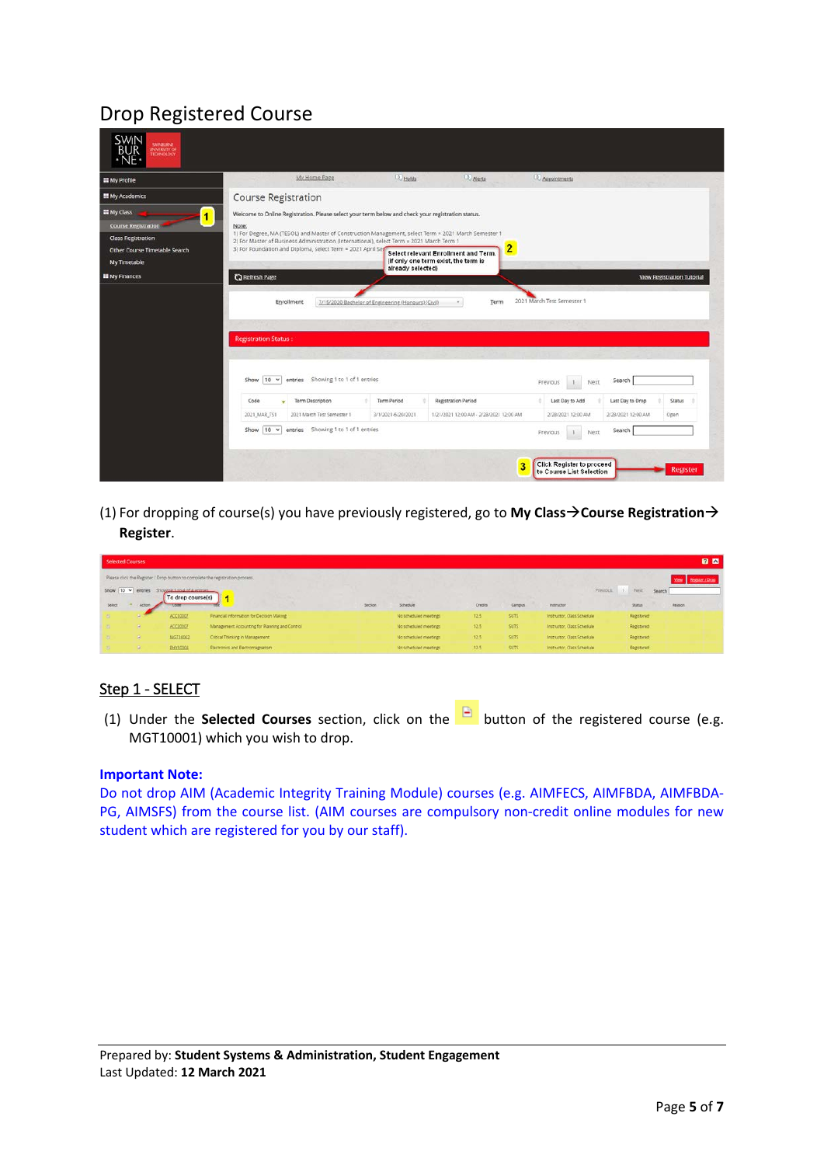# Drop Registered Course

| <b>EE</b> My Profile                  | 0 Alerts<br><b>D</b> Holds<br>My Home Page<br><b>4</b> Appointments                                                                                                                               |                                   |
|---------------------------------------|---------------------------------------------------------------------------------------------------------------------------------------------------------------------------------------------------|-----------------------------------|
| <b>III</b> My Academics               | Course Registration                                                                                                                                                                               |                                   |
| <b>III</b> My Class<br>$\blacksquare$ | Welcome to Online Registration. Please select your term below and check your registration status.                                                                                                 |                                   |
| <b>Course Registration</b>            | Note:                                                                                                                                                                                             |                                   |
| <b>Class Registration</b>             | 1) For Degree, MA (TESOL) and Master of Construction Management, select Term = 2021 March Semester 1<br>2) For Master of Business Administration (International), select Term = 2021 March Term 1 |                                   |
| Other Course Timetable Search         | 2<br>3) For Foundation and Diploma, select Term = 2021 April Ser<br>Select relevant Enrollment and Term.<br>(if only one term exist, the term is                                                  |                                   |
| My Timetable                          |                                                                                                                                                                                                   |                                   |
|                                       | already selected)                                                                                                                                                                                 |                                   |
|                                       | <b>C</b> Refresh Page<br>2021 March Test Semester 1<br>7/15/2020 Bachelor of Engineering (Honours) (Civil)<br>Enrollment<br>Term                                                                  | <b>View Registration Tutorial</b> |
| <b>EE</b> My Finances                 | <b>Registration Status:</b>                                                                                                                                                                       |                                   |
|                                       | entries Showing 1 to 1 of 1 entries<br>10 <sup>4</sup><br>Show<br>Search<br>Previous<br>Next.                                                                                                     |                                   |
|                                       | <b>Term Description</b><br><b>Registration Period</b><br><b>Term Period</b><br>Last Day to Add<br>Last Day to Drop<br>Code                                                                        | Status                            |
|                                       | 2021_MAR_TS1<br>2021 March Test Semester 1<br>3/1/2021-6/20/2021<br>1/21/2021 12:00 AM - 2/28/2021 12:00 AM<br>2/28/2021 12:00 AM<br>2/28/2021 12:00 AM                                           | Open                              |

(1) For dropping of course(s) you have previously registered, go to My Class > Course Registration > **Register**.

| Selected Courses |               |                                                                               |                                                |                      |                       |         |             |                            | <b>28</b>               |
|------------------|---------------|-------------------------------------------------------------------------------|------------------------------------------------|----------------------|-----------------------|---------|-------------|----------------------------|-------------------------|
|                  |               | Please click the Register / Drop button to complete the registration process. |                                                | View Register / Drop |                       |         |             |                            |                         |
|                  |               | Show 10 v entries Showcastandaddentries<br>To drop course(s)                  |                                                |                      |                       |         |             | Previous 1 Next            | Search                  |
| Select           | <b>Artion</b> | <b>Look</b>                                                                   |                                                | Section              | Schedule              | Credits | Campus      | Instructor                 | <b>Status</b><br>Reason |
|                  |               | ACC10007                                                                      | Financial Information for Decision Making      |                      | No scheduled meetings | 12.5    | <b>SUTS</b> | Instructor, Class Schedule | Registered              |
|                  | ×             | ACC20007                                                                      | Management Accounting for Planning and Control |                      | No scheduled meetings | 12.5    | SUTS:       | Instructor, Class Schedule | Registered              |
|                  | ×             | MGT10002                                                                      | Critical Thinking in Management                |                      | No scheduled meetings | 12.5    | SUTS.       | Instructor, Class Schedule | Registered              |
|                  | ×             | <b>ELIXIGODS</b>                                                              | <b>Dectronics and Dectromagnetism</b>          |                      | No scheduled meetings | 12.5    | SUTS:       | Instructor, Class Schedule | Registered              |

# Step 1 - SELECT

(1) Under the **Selected Courses** section, click on the button of the registered course (e.g. MGT10001) which you wish to drop.

### **Important Note:**

Do not drop AIM (Academic Integrity Training Module) courses (e.g. AIMFECS, AIMFBDA, AIMFBDA-PG, AIMSFS) from the course list. (AIM courses are compulsory non-credit online modules for new student which are registered for you by our staff).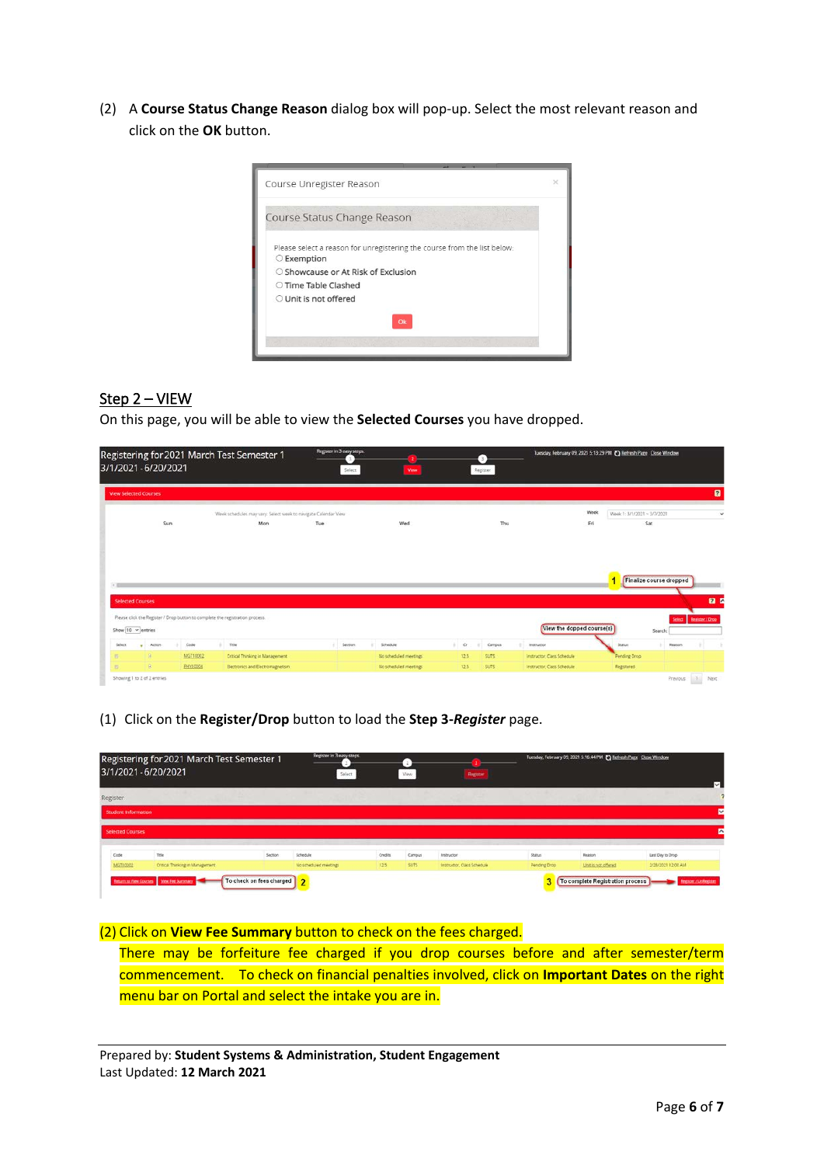(2) A **Course Status Change Reason** dialog box will pop-up. Select the most relevant reason and click on the **OK** button.



## Step 2 – VIEW

On this page, you will be able to view the **Selected Courses** you have dropped.

| 3/1/2021-6/20/2021           |                  |            | Registering for 2021 March Test Semester 1                                    | Register in 3 easy steps.<br>Select | View                   | o<br>Register               | Tuesday, February 09, 2021 5:13:29 PM ( Refresh Page Close Window |                             |                         |                        |
|------------------------------|------------------|------------|-------------------------------------------------------------------------------|-------------------------------------|------------------------|-----------------------------|-------------------------------------------------------------------|-----------------------------|-------------------------|------------------------|
| <b>View Selected Courses</b> |                  |            |                                                                               |                                     |                        |                             |                                                                   |                             |                         | $\mathbf{a}$           |
|                              |                  |            | Week schedules may vary. Select week to navigate Calendar View                |                                     |                        |                             | Week                                                              | Week 1: 3/1/2021 ~ 3/7/2021 |                         |                        |
|                              | Sun <sup>-</sup> |            | Mon                                                                           | Tue                                 | Wed                    | Thu                         | Fri                                                               |                             | Sat                     |                        |
| <b>Selected Courses</b>      |                  |            |                                                                               |                                     |                        |                             |                                                                   | 4                           | Finalize course dropped | 22                     |
| Show 10 v entries            |                  |            | Please click the Register / Drop button to complete the registration process. |                                     |                        |                             | View the dopped course(s)                                         |                             | Select  <br>Search:     | <b>Begister / Drop</b> |
| Select<br>٠                  | Action           | Code<br>a. | i Title                                                                       | 41<br>Section                       | Schedule               | $+$ $+$<br>Campus<br>$\sim$ | Instructor                                                        | Statut                      | -<br>Reason             |                        |
| $\mathbb{R}$                 | R                | MGT10002   | Critical Thinking in Management                                               |                                     | No scheduled meetings: | 12.5<br>SUTS:               | Instructor, Class Schedule                                        | Pending Drop                |                         |                        |
| E.                           | B                | PHY10004   | Electronics and Electromagnetism                                              |                                     | No scheduled meetings  | SUT5<br>12.5                | Instructor, Class Schedule                                        | Registered                  |                         |                        |
| Showing 1 to 2 of 2 entries  |                  |            |                                                                               |                                     |                        |                             |                                                                   |                             | Previous                | 1<br>Next              |

### (1) Click on the **Register/Drop** button to load the **Step 3-***Register* page.

| 3/1/2021-6/20/2021<br>Select<br><b>View</b><br>Register                                                                                    |                     |                    |                              |
|--------------------------------------------------------------------------------------------------------------------------------------------|---------------------|--------------------|------------------------------|
| Register                                                                                                                                   |                     |                    | $\overline{\mathsf{v}}$<br>7 |
|                                                                                                                                            |                     |                    |                              |
| Student Information                                                                                                                        |                     |                    | V                            |
| <b>Selected Courses</b>                                                                                                                    |                     |                    | E                            |
| Title<br>Code<br>Campus<br>Credits<br>Status<br>Section<br>Schedule<br>Instructor                                                          | Reason              | Lint Day to Drop   |                              |
| surs:<br>MGT10002<br>Critical Thinking in Management<br>12.5<br>Instructor, Class Schedule<br>No scheduled meetings<br><b>Pending Drop</b> | Unit is not offered | 2/28/2021 12:00 AM |                              |

#### (2) Click on **View Fee Summary** button to check on the fees charged.

There may be forfeiture fee charged if you drop courses before and after semester/term commencement. To check on financial penalties involved, click on **Important Dates** on the right menu bar on Portal and select the intake you are in.